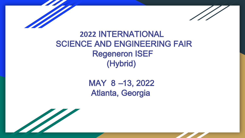

### **2022** INTERNATIONAL SCIENCE AND ENGINEERING FAIR Regeneron ISEF (Hybrid)

# MAY 8 –13, 2022 Atlanta, Georgia

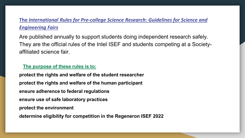#### **The** *[International Rules for Pre-college Science Research: Guidelines for Science and](https://sspcdn.blob.core.windows.net/files/Documents/SEP/ISEF/2021/Rules/Book.pdf)  Engineering Fairs*

Are published annually to support students doing independent research safely. They are the official rules of the Intel ISEF and students competing at a Societyaffiliated science fair.

#### **The purpose of these rules is to:**

**protect the rights and welfare of the student researcher protect the rights and welfare of the human participant ensure adherence to federal regulations ensure use of safe laboratory practices protect the environment determine eligibility for competition in the Regeneron ISEF 2022**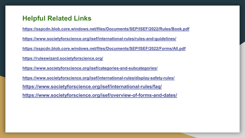#### **Helpful Related Links**

**<https://sspcdn.blob.core.windows.net/files/Documents/SEP/ISEF/2022/Rules/Book.pdf> <https://www.societyforscience.org/isef/international-rules/rules-and-guidelines/> <https://sspcdn.blob.core.windows.net/files/Documents/SEP/ISEF/2022/Forms/All.pdf> <https://ruleswizard.societyforscience.org/> <https://www.societyforscience.org/isef/categories-and-subcategories/> <https://www.societyforscience.org/isef/international-rules/display-safety-rules/> <https://www.societyforscience.org/isef/international-rules/faq/> <https://www.societyforscience.org/isef/overview-of-forms-and-dates/>**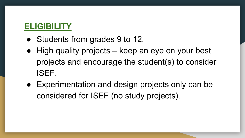## **ELIGIBILITY**

- Students from grades 9 to 12.
- High quality projects keep an eye on your best projects and encourage the student(s) to consider ISEF.
- Experimentation and design projects only can be considered for ISEF (no study projects).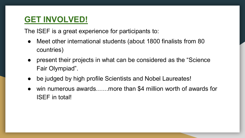#### **GET INVOLVED!**

The ISEF is a great experience for participants to:

- Meet other international students (about 1800 finalists from 80 countries)
- present their projects in what can be considered as the "Science" Fair Olympiad".
- be judged by high profile Scientists and Nobel Laureates!
- win numerous awards……more than \$4 million worth of awards for ISEF in total!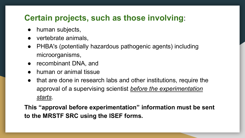#### **Certain projects, such as those involving**:

- human subjects,
- vertebrate animals.
- PHBA's (potentially hazardous pathogenic agents) including microorganisms,
- recombinant DNA, and
- human or animal tissue
- that are done in research labs and other institutions, require the approval of a supervising scientist *before the experimentation starts*.

**This "approval before experimentation" information must be sent to the MRSTF SRC using the ISEF forms.**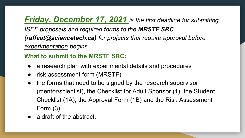# *Friday, December 17, 2021 is the first deadline for submitting*

*ISEF proposals and required forms to the MRSTF SRC (raffaat@sciencetech.ca) for projects that require approval before experimentation begins*.

#### **What to submit to the MRSTF SRC:**

- a research plan with experimental details and procedures
- risk assessment form (MRSTF)
- the forms that need to be signed by the research supervisor (mentor/scientist), the Checklist for Adult Sponsor (1), the Student Checklist (1A), the Approval Form (1B) and the Risk Assessment Form (3)
- a draft of the abstract.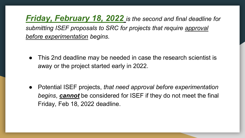*Friday, February 18, 2022 is the second and final deadline for submitting ISEF proposals to SRC for projects that require approval before experimentation begins.*

This 2nd deadline may be needed in case the research scientist is away or the project started early in 2022.

● Potential ISEF projects, *that need approval before experimentation begins*, *cannot* be considered for ISEF if they do not meet the final Friday, Feb 18, 2022 deadline.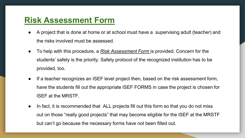### **Risk Assessment Form**

- A project that is done at home or at school must have a supervising adult (teacher) and the risks involved must be assessed.
- To help with this procedure, a *Risk Assessment Form* is provided. Concern for the students' safety is the priority. Safety protocol of the recognized institution has to be provided, too.
- If a teacher recognizes an ISEF level project then, based on the risk assessment form, have the students fill out the appropriate ISEF FORMS in case the project is chosen for ISEF at the MRSTF.
- In fact, it is recommended that ALL projects fill out this form so that you do not miss out on those "really good projects" that may become eligible for the ISEF at the MRSTF but can't go because the necessary forms have not been filled out.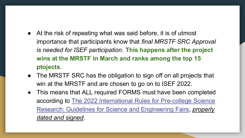- At the risk of repeating what was said before, it is of utmost importance that participants know that *final MRSTF SRC Approval is needed for ISEF participation.* **This happens after the project wins at the MRSTF in March and ranks among the top 15 ptojects.**
- The MRSTF SRC has the obligation to sign off on all projects that win at the MRSTF and are chosen to go on to ISEF 2022.
- This means that ALL required FORMS must have been completed according to The 2022 International Rules for Pre-college Science [Research: Guidelines for Science and Engineering Fairs,](https://student.societyforscience.org/international-rules-pre-college-science-research) *properly dated and signed*.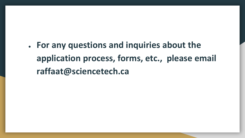● **For any questions and inquiries about the application process, forms, etc., please email raffaat@sciencetech.ca**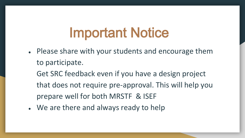# Important Notice

- Please share with your students and encourage them to participate.
	- Get SRC feedback even if you have a design project that does not require pre-approval. This will help you prepare well for both MRSTF & ISEF
- We are there and always ready to help